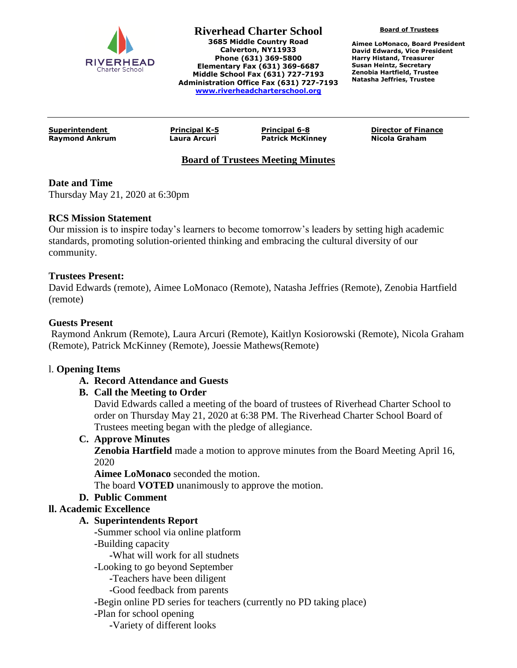

**Board of Trustees**

**Aimee LoMonaco, Board President David Edwards, Vice President Harry Histand, Treasurer Susan Heintz, Secretary Zenobia Hartfield, Trustee Natasha Jeffries, Trustee**

**Raymond Ankrum Laura Arcuri Patrick McKinney Nicola Graham**

**Superintendent Principal K-5 Principal 6-8 Director of Finance**

# **Board of Trustees Meeting Minutes**

## **Date and Time**

Thursday May 21, 2020 at 6:30pm

#### **RCS Mission Statement**

Our mission is to inspire today's learners to become tomorrow's leaders by setting high academic standards, promoting solution-oriented thinking and embracing the cultural diversity of our community.

#### **Trustees Present:**

David Edwards (remote), Aimee LoMonaco (Remote), Natasha Jeffries (Remote), Zenobia Hartfield (remote)

#### **Guests Present**

Raymond Ankrum (Remote), Laura Arcuri (Remote), Kaitlyn Kosiorowski (Remote), Nicola Graham (Remote), Patrick McKinney (Remote), Joessie Mathews(Remote)

#### l. **Opening Items**

## **A. Record Attendance and Guests**

## **B. Call the Meeting to Order**

David Edwards called a meeting of the board of trustees of Riverhead Charter School to order on Thursday May 21, 2020 at 6:38 PM. The Riverhead Charter School Board of Trustees meeting began with the pledge of allegiance.

#### **C. Approve Minutes**

**Zenobia Hartfield** made a motion to approve minutes from the Board Meeting April 16, 2020

**Aimee LoMonaco** seconded the motion.

The board **VOTED** unanimously to approve the motion.

## **D. Public Comment**

## **ll. Academic Excellence**

#### **A. Superintendents Report**

**-**Summer school via online platform

**-**Building capacity

**-**What will work for all studnets

**-**Looking to go beyond September

**-**Teachers have been diligent

**-**Good feedback from parents

**-**Begin online PD series for teachers (currently no PD taking place)

**-**Plan for school opening

**-**Variety of different looks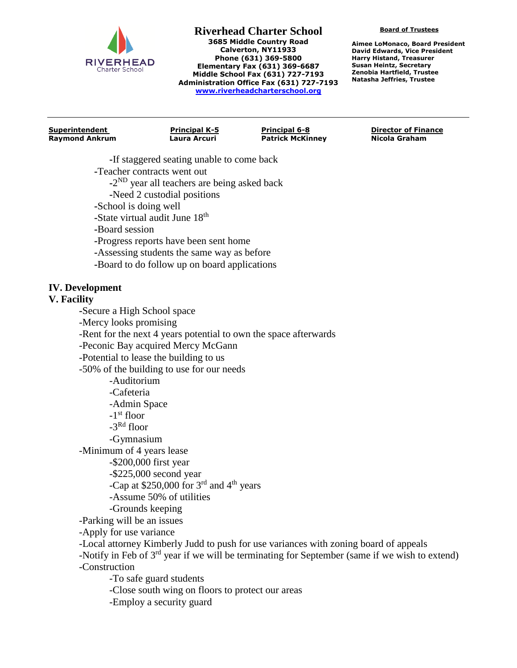

**Board of Trustees**

**Aimee LoMonaco, Board President David Edwards, Vice President Harry Histand, Treasurer Susan Heintz, Secretary Zenobia Hartfield, Trustee Natasha Jeffries, Trustee**

**Raymond Ankrum Laura Arcuri Patrick McKinney Nicola Graham**

**Superintendent Principal K-5 Principal 6-8 Director of Finance**

- **-**If staggered seating unable to come back
- **-**Teacher contracts went out
	- **-**2 ND year all teachers are being asked back
	- **-**Need 2 custodial positions
- **-**School is doing well
- **-**State virtual audit June 18th
- **-**Board session
- **-**Progress reports have been sent home
- **-**Assessing students the same way as before
- **-**Board to do follow up on board applications

## **IV. Development**

#### **V. Facility**

**-**Secure a High School space

-Mercy looks promising

-Rent for the next 4 years potential to own the space afterwards

-Peconic Bay acquired Mercy McGann

-Potential to lease the building to us

-50% of the building to use for our needs

-Auditorium

-Cafeteria

-Admin Space

-1 st floor

-3 Rd floor

-Gymnasium

-Minimum of 4 years lease

-\$200,000 first year

-\$225,000 second year

-Cap at  $$250,000$  for 3<sup>rd</sup> and 4<sup>th</sup> years

- -Assume 50% of utilities
- -Grounds keeping

-Parking will be an issues

-Apply for use variance

-Local attorney Kimberly Judd to push for use variances with zoning board of appeals

-Notify in Feb of 3<sup>rd</sup> year if we will be terminating for September (same if we wish to extend) -Construction

-To safe guard students

-Close south wing on floors to protect our areas

-Employ a security guard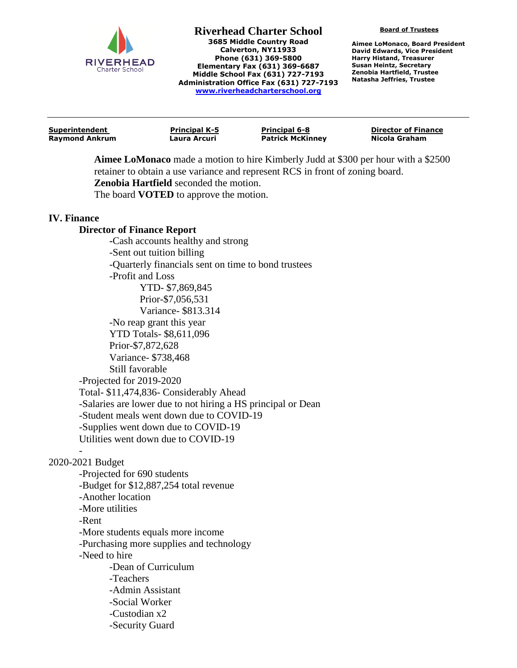

**Board of Trustees**

**Aimee LoMonaco, Board President David Edwards, Vice President Harry Histand, Treasurer Susan Heintz, Secretary Zenobia Hartfield, Trustee Natasha Jeffries, Trustee**

| Superintendent        | <b>Principal K-5</b> | <b>Principal 6-8</b>    | <b>Director of Finance</b> |
|-----------------------|----------------------|-------------------------|----------------------------|
| <b>Raymond Ankrum</b> | Laura Arcuri         | <b>Patrick McKinney</b> | Nicola Graham              |
|                       |                      |                         |                            |

**Aimee LoMonaco** made a motion to hire Kimberly Judd at \$300 per hour with a \$2500 retainer to obtain a use variance and represent RCS in front of zoning board. **Zenobia Hartfield** seconded the motion.

The board **VOTED** to approve the motion.

#### **IV. Finance**

#### **Director of Finance Report**

**-**Cash accounts healthy and strong -Sent out tuition billing -Quarterly financials sent on time to bond trustees -Profit and Loss YTD- \$7,869,845 Prior-\$7,056,531 Variance- \$813.314 -No reap grant this year YTD Totals- \$8,611,096 Prior-\$7,872,628 Variance- \$738,468 Still favorable -Projected for 2019-2020 Total- \$11,474,836- Considerably Ahead -Salaries are lower due to not hiring a HS principal or Dean -Student meals went down due to COVID-19 -Supplies went down due to COVID-19 Utilities went down due to COVID-19

## 2020-2021 Budget

-

-Projected for 690 students -Budget for \$12,887,254 total revenue -Another location -More utilities -Rent -More students equals more income -Purchasing more supplies and technology -Need to hire -Dean of Curriculum -Teachers -Admin Assistant -Social Worker -Custodian x2 -Security Guard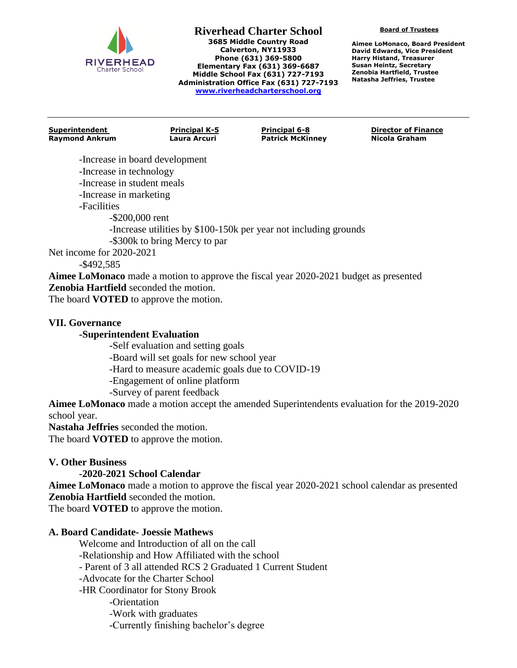

**Board of Trustees**

**Aimee LoMonaco, Board President David Edwards, Vice President Harry Histand, Treasurer Susan Heintz, Secretary Zenobia Hartfield, Trustee Natasha Jeffries, Trustee**

**Raymond Ankrum Laura Arcuri Patrick McKinney Nicola Graham**

**Superintendent Principal K-5 Principal 6-8 Director of Finance**

-Increase in board development -Increase in technology

-Increase in student meals

-Increase in marketing

-Facilities

-\$200,000 rent

-Increase utilities by \$100-150k per year not including grounds

-\$300k to bring Mercy to par

Net income for 2020-2021

-\$492,585

**Aimee LoMonaco** made a motion to approve the fiscal year 2020-2021 budget as presented **Zenobia Hartfield** seconded the motion.

The board **VOTED** to approve the motion.

## **VII. Governance**

## **-Superintendent Evaluation**

**-**Self evaluation and setting goals

-Board will set goals for new school year

-Hard to measure academic goals due to COVID-19

-Engagement of online platform

-Survey of parent feedback

**Aimee LoMonaco** made a motion accept the amended Superintendents evaluation for the 2019-2020 school year.

**Nastaha Jeffries** seconded the motion.

The board **VOTED** to approve the motion.

# **V. Other Business**

# **-2020-2021 School Calendar**

**Aimee LoMonaco** made a motion to approve the fiscal year 2020-2021 school calendar as presented **Zenobia Hartfield** seconded the motion.

The board **VOTED** to approve the motion.

# **A. Board Candidate- Joessie Mathews**

Welcome and Introduction of all on the call

-Relationship and How Affiliated with the school

- Parent of 3 all attended RCS 2 Graduated 1 Current Student

-Advocate for the Charter School

-HR Coordinator for Stony Brook

-Orientation

-Work with graduates

-Currently finishing bachelor's degree